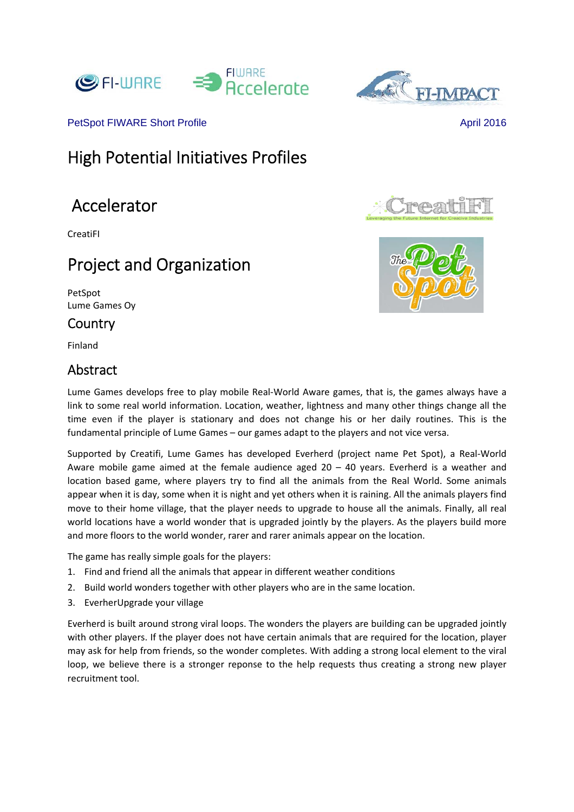





PetSpot FIWARE Short Profile April 2016

# High Potential Initiatives Profiles

# Accelerator

CreatiFI

# Project and Organization

PetSpot Lume Games Oy

### Country

Finland

## Abstract



PAGE

Lume Games develops free to play mobile Real‐World Aware games, that is, the games always have a link to some real world information. Location, weather, lightness and many other things change all the time even if the player is stationary and does not change his or her daily routines. This is the fundamental principle of Lume Games – our games adapt to the players and not vice versa.

Supported by Creatifi, Lume Games has developed Everherd (project name Pet Spot), a Real‐World Aware mobile game aimed at the female audience aged  $20 - 40$  years. Everherd is a weather and location based game, where players try to find all the animals from the Real World. Some animals appear when it is day, some when it is night and yet others when it is raining. All the animals players find move to their home village, that the player needs to upgrade to house all the animals. Finally, all real world locations have a world wonder that is upgraded jointly by the players. As the players build more and more floors to the world wonder, rarer and rarer animals appear on the location.

The game has really simple goals for the players:

- 1. Find and friend all the animals that appear in different weather conditions
- 2. Build world wonders together with other players who are in the same location.
- 3. EverherUpgrade your village

Everherd is built around strong viral loops. The wonders the players are building can be upgraded jointly with other players. If the player does not have certain animals that are required for the location, player may ask for help from friends, so the wonder completes. With adding a strong local element to the viral loop, we believe there is a stronger reponse to the help requests thus creating a strong new player recruitment tool.